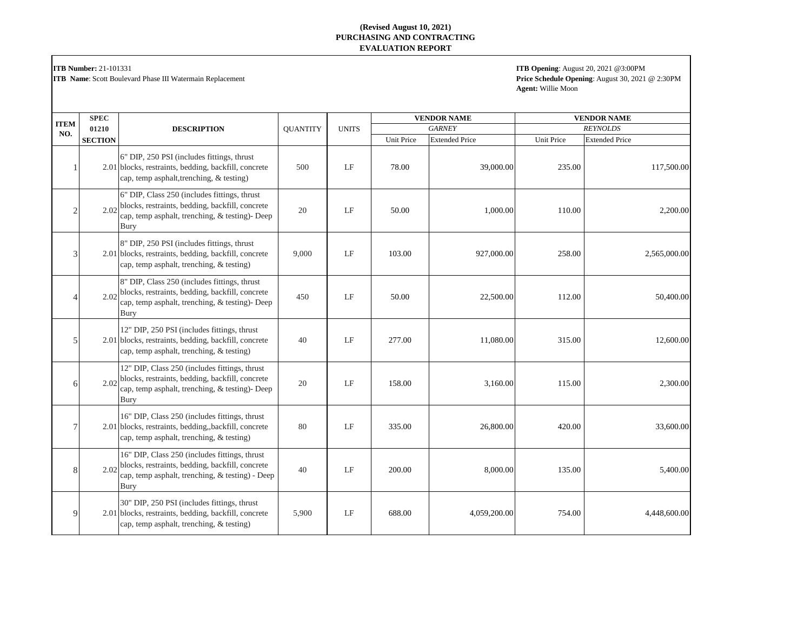**ITB Number:** 21-101331

**ITB Name**: Scott Boulevard Phase III Watermain Replacement

**ITB Opening**: August 20, 2021 @3:00PM **Price Schedule Opening**: August 30, 2021 @ 2:30PM **Agent:** Willie Moon

|                    | <b>SPEC</b>    |                                                                                                                                                                  |                 |              |                   | <b>VENDOR NAME</b>    |                 | <b>VENDOR NAME</b>    |
|--------------------|----------------|------------------------------------------------------------------------------------------------------------------------------------------------------------------|-----------------|--------------|-------------------|-----------------------|-----------------|-----------------------|
| <b>ITEM</b><br>NO. | 01210          | <b>DESCRIPTION</b>                                                                                                                                               | <b>QUANTITY</b> | <b>UNITS</b> | <b>GARNEY</b>     |                       | <b>REYNOLDS</b> |                       |
|                    | <b>SECTION</b> |                                                                                                                                                                  |                 |              | <b>Unit Price</b> | <b>Extended Price</b> | Unit Price      | <b>Extended Price</b> |
|                    |                | 6" DIP, 250 PSI (includes fittings, thrust<br>2.01 blocks, restraints, bedding, backfill, concrete<br>cap, temp asphalt, trenching, & testing)                   | 500             | LF           | 78.00             | 39,000.00             | 235.00          | 117,500.00            |
|                    | 2.02           | 6" DIP, Class 250 (includes fittings, thrust<br>blocks, restraints, bedding, backfill, concrete<br>cap, temp asphalt, trenching, & testing)- Deep<br><b>Bury</b> | 20              | LF           | 50.00             | 1,000.00              | 110.00          | 2,200.00              |
|                    |                | 8" DIP, 250 PSI (includes fittings, thrust<br>2.01 blocks, restraints, bedding, backfill, concrete<br>cap, temp asphalt, trenching, & testing)                   | 9,000           | LF           | 103.00            | 927,000.00            | 258.00          | 2,565,000.00          |
|                    | 2.02           | 8" DIP, Class 250 (includes fittings, thrust<br>blocks, restraints, bedding, backfill, concrete<br>cap, temp asphalt, trenching, & testing)- Deep<br><b>Bury</b> | 450             | LF           | 50.00             | 22,500.00             | 112.00          | 50,400.00             |
| 5                  |                | 12" DIP, 250 PSI (includes fittings, thrust<br>2.01 blocks, restraints, bedding, backfill, concrete<br>cap, temp asphalt, trenching, & testing)                  | 40              | LF           | 277.00            | 11,080.00             | 315.00          | 12,600.00             |
| 6                  |                | 12" DIP, Class 250 (includes fittings, thrust<br>2.02 blocks, restraints, bedding, backfill, concrete<br>cap, temp asphalt, trenching, & testing)- Deep<br>Bury  | 20              | LF           | 158.00            | 3,160.00              | 115.00          | 2,300.00              |
|                    |                | 16" DIP, Class 250 (includes fittings, thrust<br>2.01 blocks, restraints, bedding, backfill, concrete<br>cap, temp asphalt, trenching, & testing)                | 80              | LF           | 335.00            | 26,800.00             | 420.00          | 33,600.00             |
| 8                  |                | 16" DIP, Class 250 (includes fittings, thrust<br>2.02 blocks, restraints, bedding, backfill, concrete<br>cap, temp asphalt, trenching, & testing) - Deep<br>Bury | 40              | LF           | 200.00            | 8,000.00              | 135.00          | 5,400.00              |
| 9                  |                | 30" DIP, 250 PSI (includes fittings, thrust<br>2.01 blocks, restraints, bedding, backfill, concrete<br>cap, temp asphalt, trenching, & testing)                  | 5,900           | LF           | 688.00            | 4,059,200.00          | 754.00          | 4,448,600.00          |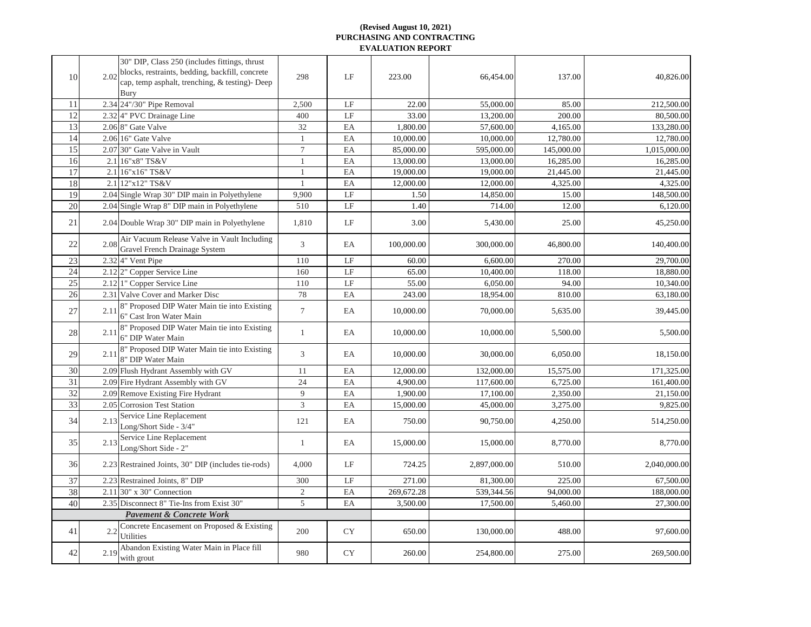| 10 |      | 30" DIP, Class 250 (includes fittings, thrust<br>2.02 blocks, restraints, bedding, backfill, concrete<br>cap, temp asphalt, trenching, & testing)- Deep<br><b>Bury</b> | 298            | LF                  | 223.00     | 66,454.00    | 137.00     | 40,826.00    |
|----|------|------------------------------------------------------------------------------------------------------------------------------------------------------------------------|----------------|---------------------|------------|--------------|------------|--------------|
| 11 |      | 2.34 24"/30" Pipe Removal                                                                                                                                              | 2,500          | LF                  | 22.00      | 55,000.00    | 85.00      | 212,500.00   |
| 12 |      | 2.32 4" PVC Drainage Line                                                                                                                                              | 400            | LF                  | 33.00      | 13,200.00    | 200.00     | 80,500.00    |
| 13 |      | 2.06 8" Gate Valve                                                                                                                                                     | 32             | EA                  | 1,800.00   | 57,600.00    | 4,165.00   | 133,280.00   |
| 14 |      | 2.06 16" Gate Valve                                                                                                                                                    |                | EA                  | 10,000.00  | 10,000.00    | 12,780.00  | 12,780.00    |
| 15 |      | 2.07 30" Gate Valve in Vault                                                                                                                                           | $\overline{7}$ | EA                  | 85,000.00  | 595,000.00   | 145,000.00 | 1,015,000.00 |
| 16 |      | 2.1 16"x8" TS&V                                                                                                                                                        |                | EA                  | 13,000.00  | 13,000.00    | 16,285.00  | 16,285.00    |
| 17 |      | 2.1 16"x16" TS&V                                                                                                                                                       |                | EA                  | 19,000.00  | 19,000.00    | 21,445.00  | 21,445.00    |
| 18 |      | 2.1 12"x12" TS&V                                                                                                                                                       |                | EA                  | 12,000.00  | 12,000.00    | 4,325.00   | 4,325.00     |
| 19 |      | 2.04 Single Wrap 30" DIP main in Polyethylene                                                                                                                          | 9,900          | $\rm LF$            | 1.50       | 14,850.00    | 15.00      | 148,500.00   |
| 20 |      | 2.04 Single Wrap 8" DIP main in Polyethylene                                                                                                                           | 510            | LF                  | 1.40       | 714.00       | 12.00      | 6,120.00     |
| 21 |      | 2.04 Double Wrap 30" DIP main in Polyethylene                                                                                                                          | 1,810          | LF                  | 3.00       | 5,430.00     | 25.00      | 45,250.00    |
| 22 | 2.08 | Air Vacuum Release Valve in Vault Including<br><b>Gravel French Drainage System</b>                                                                                    | $\overline{3}$ | EA                  | 100,000.00 | 300,000.00   | 46,800.00  | 140,400.00   |
| 23 |      | 2.32 <sup>4"</sup> Vent Pipe                                                                                                                                           | 110            | $\operatorname{LF}$ | 60.00      | 6,600.00     | 270.00     | 29,700.00    |
| 24 |      | 2.12 <sup>2</sup> Copper Service Line                                                                                                                                  | 160            | $\rm LF$            | 65.00      | 10,400.00    | 118.00     | 18,880.00    |
| 25 |      | 2.12 <sup> </sup> 1" Copper Service Line                                                                                                                               | 110            | $\operatorname{LF}$ | 55.00      | 6,050.00     | 94.00      | 10,340.00    |
| 26 |      | 2.31 Valve Cover and Marker Disc                                                                                                                                       | 78             | EA                  | 243.00     | 18,954.00    | 810.00     | 63,180.00    |
| 27 | 2.11 | 8" Proposed DIP Water Main tie into Existing<br>6" Cast Iron Water Main                                                                                                | $\overline{7}$ | EA                  | 10,000.00  | 70,000.00    | 5,635.00   | 39,445.00    |
| 28 |      | 8" Proposed DIP Water Main tie into Existing<br>$2.11$ $6"$ DIP Water Main                                                                                             |                | EA                  | 10,000.00  | 10,000.00    | 5,500.00   | 5,500.00     |
| 29 | 2.11 | 8" Proposed DIP Water Main tie into Existing<br>8" DIP Water Main                                                                                                      | $\overline{3}$ | EA                  | 10,000.00  | 30,000.00    | 6,050.00   | 18,150.00    |
| 30 |      | 2.09 Flush Hydrant Assembly with GV                                                                                                                                    | 11             | EA                  | 12,000.00  | 132,000.00   | 15,575.00  | 171,325.00   |
| 31 |      | 2.09 Fire Hydrant Assembly with GV                                                                                                                                     | 24             | EA                  | 4,900.00   | 117,600.00   | 6,725.00   | 161,400.00   |
| 32 |      | 2.09 Remove Existing Fire Hydrant                                                                                                                                      | 9              | EA                  | 1,900.00   | 17,100.00    | 2,350.00   | 21,150.00    |
| 33 |      | 2.05 Corrosion Test Station                                                                                                                                            | $\overline{3}$ | EA                  | 15,000.00  | 45,000.00    | 3,275.00   | 9,825.00     |
| 34 |      | 2.13 Service Line Replacement<br>Long/Short Side - 3/4"                                                                                                                | 121            | EA                  | 750.00     | 90,750.00    | 4,250.00   | 514,250.00   |
| 35 | 2.13 | Service Line Replacement<br>Long/Short Side - 2"                                                                                                                       |                | EA                  | 15,000.00  | 15,000.00    | 8,770.00   | 8,770.00     |
| 36 |      | 2.23 Restrained Joints, 30" DIP (includes tie-rods)                                                                                                                    | 4,000          | LF                  | 724.25     | 2,897,000.00 | 510.00     | 2,040,000.00 |
| 37 |      | 2.23 Restrained Joints, 8" DIP                                                                                                                                         | 300            | LF                  | 271.00     | 81,300.00    | 225.00     | 67,500.00    |
| 38 |      | 2.11 30" x 30" Connection                                                                                                                                              | $\overline{2}$ | EA                  | 269,672.28 | 539,344.56   | 94,000.00  | 188,000.00   |
| 40 |      | 2.35 Disconnect 8" Tie-Ins from Exist 30"                                                                                                                              | 5              | EA                  | 3,500.00   | 17,500.00    | 5,460.00   | 27,300.00    |
|    |      | <b>Pavement &amp; Concrete Work</b>                                                                                                                                    |                |                     |            |              |            |              |
| 41 | 2.2  | Concrete Encasement on Proposed & Existing<br><b>Utilities</b>                                                                                                         | 200            | <b>CY</b>           | 650.00     | 130,000.00   | 488.00     | 97,600.00    |
| 42 | 2.19 | Abandon Existing Water Main in Place fill<br>with grout                                                                                                                | 980            | ${\rm CY}$          | 260.00     | 254,800.00   | 275.00     | 269,500.00   |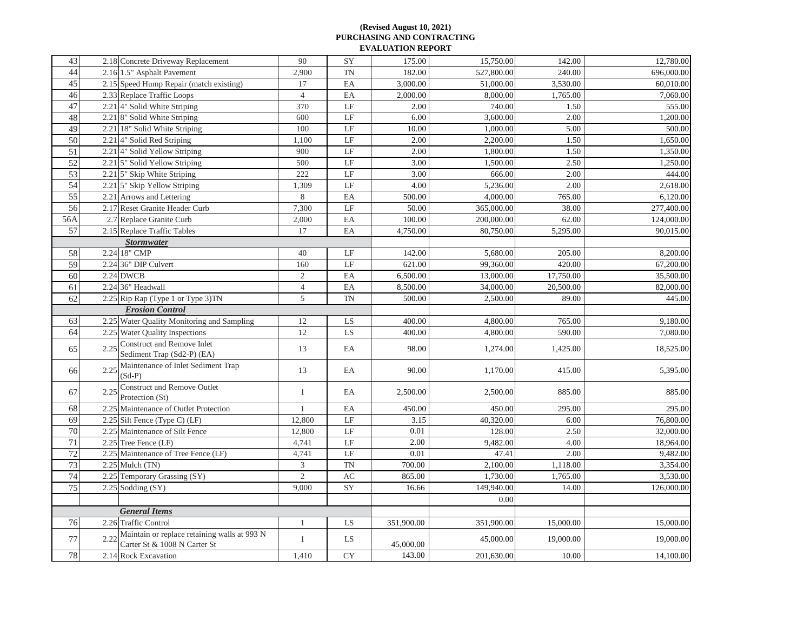| 44<br>527,800.00<br>2.16 1.5" Asphalt Pavement<br>2,900<br><b>TN</b><br>182.00<br>240.00<br>45<br>2.15 Speed Hump Repair (match existing)<br>17<br>EA<br>3,000.00<br>51,000.00<br>3,530.00<br>46<br>2.33 Replace Traffic Loops<br>EA<br>8,000.00<br>1,765.00<br>$\overline{4}$<br>2,000.00<br>47<br>2.21 4" Solid White Striping<br>370<br>$\operatorname{LF}$<br>2.00<br>740.00<br>1.50<br>48<br>$\operatorname{LF}$<br>2.21 8" Solid White Striping<br>3,600.00<br>2.00<br>600<br>6.00<br>49<br>2.21 18" Solid White Striping<br>$\rm LF$<br>10.00<br>100<br>1,000.00<br>5.00<br>50<br>$\operatorname{LF}$<br>2.00<br>2,200.00<br>1.50<br>2.21 4" Solid Red Striping<br>1,100<br>51<br>2.21 4" Solid Yellow Striping<br>$\rm LF$<br>2.00<br>1,800.00<br>1.50<br>900<br>52<br>$\operatorname{LF}$<br>3.00<br>1,500.00<br>2.50<br>2.21 5" Solid Yellow Striping<br>500<br>53<br>$\operatorname{LF}$<br>2.21 5" Skip White Striping<br>222<br>3.00<br>2.00<br>666.00<br>54<br>4.00<br>1,309<br>$\rm LF$<br>5,236.00<br>2.00<br>2.21 5" Skip Yellow Striping<br>55<br>8<br>4,000.00<br>765.00<br>2.21 Arrows and Lettering<br>EA<br>500.00<br>56<br>2.17 Reset Granite Header Curb<br>7,300<br>$\operatorname{LF}$<br>365,000.00<br>38.00<br>50.00<br>56A<br>2.7 Replace Granite Curb<br>EA<br>2,000<br>100.00<br>200,000.00<br>62.00<br>57<br>2.15 Replace Traffic Tables<br>17<br>EA<br>4,750.00<br>80,750.00<br>5,295.00<br><b>Stormwater</b><br>58<br>2.24 18" CMP<br>40<br>$\rm LF$<br>142.00<br>5,680.00<br>205.00<br>59<br>$\rm LF$<br>2.24 36" DIP Culvert<br>160<br>621.00<br>99,360.00<br>420.00<br>60<br>2.24 DWCB<br>2<br>6,500.00<br>17,750.00<br>EA<br>13,000.00<br>61<br>2.24 36" Headwall<br>8,500.00<br>34,000.00<br>20,500.00<br>EA<br>$\overline{4}$<br>62<br>$5\overline{)}$<br><b>TN</b><br>2.25 Rip Rap (Type 1 or Type 3) TN<br>500.00<br>89.00<br>2,500.00<br><b>Erosion Control</b><br>63<br>2.25 Water Quality Monitoring and Sampling<br>LS<br>400.00<br>12<br>4,800.00<br>765.00<br>64<br>12<br>LS<br>2.25 Water Quality Inspections<br>400.00<br>4,800.00<br>590.00<br><b>Construct and Remove Inlet</b><br>2.25<br>65<br>EA<br>98.00<br>13<br>1,274.00<br>1,425.00<br>Sediment Trap (Sd2-P) (EA)<br>Maintenance of Inlet Sediment Trap<br>2.25<br>EA<br>90.00<br>1,170.00<br>66<br>13<br>415.00<br>$(Sd-P)$<br><b>Construct and Remove Outlet</b><br>2,500.00<br>885.00<br>67<br>2.25<br>EA<br>2,500.00<br>$\mathbf{1}$<br>Protection (St)<br>68<br>2.25 Maintenance of Outlet Protection<br>EA<br>450.00<br>295.00<br>450.00<br>69<br>LF<br>$2.25$ Silt Fence (Type C) (LF)<br>3.15<br>40,320.00<br>6.00<br>12,800<br>70<br>$\rm LF$<br>0.01<br>2.25 Maintenance of Silt Fence<br>12,800<br>128.00<br>2.50<br>71<br>2.00<br>2.25 Tree Fence (LF)<br>LF<br>9,482.00<br>4.00<br>4,741<br>72<br>2.25 Maintenance of Tree Fence (LF)<br>$\operatorname{LF}$<br>0.01<br>4,741<br>47.41<br>2.00<br>73<br>$\mathfrak{Z}$<br>700.00<br>$2.25$ Mulch (TN)<br>TN<br>2,100.00<br>1,118.00<br>74<br>$\overline{2}$<br>$\mathbf{A}\mathbf{C}$<br>865.00<br>1,730.00<br>1,765.00<br>2.25 Temporary Grassing (SY)<br>75<br>2.25 Sodding (SY)<br>9,000<br>149,940.00<br>SY<br>16.66<br>14.00<br>0.00<br><b>General Items</b><br>76<br>351,900.00<br>2.26 Traffic Control<br>LS<br>351,900.00<br>15,000.00<br>Maintain or replace retaining walls at 993 N<br>2.22<br>77<br>LS<br>45,000.00<br>19,000.00<br>45,000.00<br>Carter St & 1008 N Carter St<br>78<br><b>CY</b><br>2.14 Rock Excavation<br>143.00<br>201,630.00<br>10.00<br>1,410 | 43 | 2.18 Concrete Driveway Replacement | 90 | SY | 175.00 | 15,750.00 | 142.00 | 12,780.00  |
|--------------------------------------------------------------------------------------------------------------------------------------------------------------------------------------------------------------------------------------------------------------------------------------------------------------------------------------------------------------------------------------------------------------------------------------------------------------------------------------------------------------------------------------------------------------------------------------------------------------------------------------------------------------------------------------------------------------------------------------------------------------------------------------------------------------------------------------------------------------------------------------------------------------------------------------------------------------------------------------------------------------------------------------------------------------------------------------------------------------------------------------------------------------------------------------------------------------------------------------------------------------------------------------------------------------------------------------------------------------------------------------------------------------------------------------------------------------------------------------------------------------------------------------------------------------------------------------------------------------------------------------------------------------------------------------------------------------------------------------------------------------------------------------------------------------------------------------------------------------------------------------------------------------------------------------------------------------------------------------------------------------------------------------------------------------------------------------------------------------------------------------------------------------------------------------------------------------------------------------------------------------------------------------------------------------------------------------------------------------------------------------------------------------------------------------------------------------------------------------------------------------------------------------------------------------------------------------------------------------------------------------------------------------------------------------------------------------------------------------------------------------------------------------------------------------------------------------------------------------------------------------------------------------------------------------------------------------------------------------------------------------------------------------------------------------------------------------------------------------------------------------------------------------------------------------------------------------------------------------------------------------------------------------------------------------------------------------------------------------------------------------------------------------------------------------------------------------------------------------------------------------------------------------------------------|----|------------------------------------|----|----|--------|-----------|--------|------------|
|                                                                                                                                                                                                                                                                                                                                                                                                                                                                                                                                                                                                                                                                                                                                                                                                                                                                                                                                                                                                                                                                                                                                                                                                                                                                                                                                                                                                                                                                                                                                                                                                                                                                                                                                                                                                                                                                                                                                                                                                                                                                                                                                                                                                                                                                                                                                                                                                                                                                                                                                                                                                                                                                                                                                                                                                                                                                                                                                                                                                                                                                                                                                                                                                                                                                                                                                                                                                                                                                                                                                                        |    |                                    |    |    |        |           |        | 696,000.00 |
|                                                                                                                                                                                                                                                                                                                                                                                                                                                                                                                                                                                                                                                                                                                                                                                                                                                                                                                                                                                                                                                                                                                                                                                                                                                                                                                                                                                                                                                                                                                                                                                                                                                                                                                                                                                                                                                                                                                                                                                                                                                                                                                                                                                                                                                                                                                                                                                                                                                                                                                                                                                                                                                                                                                                                                                                                                                                                                                                                                                                                                                                                                                                                                                                                                                                                                                                                                                                                                                                                                                                                        |    |                                    |    |    |        |           |        | 60,010.00  |
|                                                                                                                                                                                                                                                                                                                                                                                                                                                                                                                                                                                                                                                                                                                                                                                                                                                                                                                                                                                                                                                                                                                                                                                                                                                                                                                                                                                                                                                                                                                                                                                                                                                                                                                                                                                                                                                                                                                                                                                                                                                                                                                                                                                                                                                                                                                                                                                                                                                                                                                                                                                                                                                                                                                                                                                                                                                                                                                                                                                                                                                                                                                                                                                                                                                                                                                                                                                                                                                                                                                                                        |    |                                    |    |    |        |           |        | 7,060.00   |
|                                                                                                                                                                                                                                                                                                                                                                                                                                                                                                                                                                                                                                                                                                                                                                                                                                                                                                                                                                                                                                                                                                                                                                                                                                                                                                                                                                                                                                                                                                                                                                                                                                                                                                                                                                                                                                                                                                                                                                                                                                                                                                                                                                                                                                                                                                                                                                                                                                                                                                                                                                                                                                                                                                                                                                                                                                                                                                                                                                                                                                                                                                                                                                                                                                                                                                                                                                                                                                                                                                                                                        |    |                                    |    |    |        |           |        | 555.00     |
|                                                                                                                                                                                                                                                                                                                                                                                                                                                                                                                                                                                                                                                                                                                                                                                                                                                                                                                                                                                                                                                                                                                                                                                                                                                                                                                                                                                                                                                                                                                                                                                                                                                                                                                                                                                                                                                                                                                                                                                                                                                                                                                                                                                                                                                                                                                                                                                                                                                                                                                                                                                                                                                                                                                                                                                                                                                                                                                                                                                                                                                                                                                                                                                                                                                                                                                                                                                                                                                                                                                                                        |    |                                    |    |    |        |           |        | 1,200.00   |
|                                                                                                                                                                                                                                                                                                                                                                                                                                                                                                                                                                                                                                                                                                                                                                                                                                                                                                                                                                                                                                                                                                                                                                                                                                                                                                                                                                                                                                                                                                                                                                                                                                                                                                                                                                                                                                                                                                                                                                                                                                                                                                                                                                                                                                                                                                                                                                                                                                                                                                                                                                                                                                                                                                                                                                                                                                                                                                                                                                                                                                                                                                                                                                                                                                                                                                                                                                                                                                                                                                                                                        |    |                                    |    |    |        |           |        | 500.00     |
|                                                                                                                                                                                                                                                                                                                                                                                                                                                                                                                                                                                                                                                                                                                                                                                                                                                                                                                                                                                                                                                                                                                                                                                                                                                                                                                                                                                                                                                                                                                                                                                                                                                                                                                                                                                                                                                                                                                                                                                                                                                                                                                                                                                                                                                                                                                                                                                                                                                                                                                                                                                                                                                                                                                                                                                                                                                                                                                                                                                                                                                                                                                                                                                                                                                                                                                                                                                                                                                                                                                                                        |    |                                    |    |    |        |           |        | 1,650.00   |
|                                                                                                                                                                                                                                                                                                                                                                                                                                                                                                                                                                                                                                                                                                                                                                                                                                                                                                                                                                                                                                                                                                                                                                                                                                                                                                                                                                                                                                                                                                                                                                                                                                                                                                                                                                                                                                                                                                                                                                                                                                                                                                                                                                                                                                                                                                                                                                                                                                                                                                                                                                                                                                                                                                                                                                                                                                                                                                                                                                                                                                                                                                                                                                                                                                                                                                                                                                                                                                                                                                                                                        |    |                                    |    |    |        |           |        | 1,350.00   |
|                                                                                                                                                                                                                                                                                                                                                                                                                                                                                                                                                                                                                                                                                                                                                                                                                                                                                                                                                                                                                                                                                                                                                                                                                                                                                                                                                                                                                                                                                                                                                                                                                                                                                                                                                                                                                                                                                                                                                                                                                                                                                                                                                                                                                                                                                                                                                                                                                                                                                                                                                                                                                                                                                                                                                                                                                                                                                                                                                                                                                                                                                                                                                                                                                                                                                                                                                                                                                                                                                                                                                        |    |                                    |    |    |        |           |        | 1,250.00   |
|                                                                                                                                                                                                                                                                                                                                                                                                                                                                                                                                                                                                                                                                                                                                                                                                                                                                                                                                                                                                                                                                                                                                                                                                                                                                                                                                                                                                                                                                                                                                                                                                                                                                                                                                                                                                                                                                                                                                                                                                                                                                                                                                                                                                                                                                                                                                                                                                                                                                                                                                                                                                                                                                                                                                                                                                                                                                                                                                                                                                                                                                                                                                                                                                                                                                                                                                                                                                                                                                                                                                                        |    |                                    |    |    |        |           |        | 444.00     |
|                                                                                                                                                                                                                                                                                                                                                                                                                                                                                                                                                                                                                                                                                                                                                                                                                                                                                                                                                                                                                                                                                                                                                                                                                                                                                                                                                                                                                                                                                                                                                                                                                                                                                                                                                                                                                                                                                                                                                                                                                                                                                                                                                                                                                                                                                                                                                                                                                                                                                                                                                                                                                                                                                                                                                                                                                                                                                                                                                                                                                                                                                                                                                                                                                                                                                                                                                                                                                                                                                                                                                        |    |                                    |    |    |        |           |        | 2,618.00   |
|                                                                                                                                                                                                                                                                                                                                                                                                                                                                                                                                                                                                                                                                                                                                                                                                                                                                                                                                                                                                                                                                                                                                                                                                                                                                                                                                                                                                                                                                                                                                                                                                                                                                                                                                                                                                                                                                                                                                                                                                                                                                                                                                                                                                                                                                                                                                                                                                                                                                                                                                                                                                                                                                                                                                                                                                                                                                                                                                                                                                                                                                                                                                                                                                                                                                                                                                                                                                                                                                                                                                                        |    |                                    |    |    |        |           |        | 6,120.00   |
|                                                                                                                                                                                                                                                                                                                                                                                                                                                                                                                                                                                                                                                                                                                                                                                                                                                                                                                                                                                                                                                                                                                                                                                                                                                                                                                                                                                                                                                                                                                                                                                                                                                                                                                                                                                                                                                                                                                                                                                                                                                                                                                                                                                                                                                                                                                                                                                                                                                                                                                                                                                                                                                                                                                                                                                                                                                                                                                                                                                                                                                                                                                                                                                                                                                                                                                                                                                                                                                                                                                                                        |    |                                    |    |    |        |           |        | 277,400.00 |
|                                                                                                                                                                                                                                                                                                                                                                                                                                                                                                                                                                                                                                                                                                                                                                                                                                                                                                                                                                                                                                                                                                                                                                                                                                                                                                                                                                                                                                                                                                                                                                                                                                                                                                                                                                                                                                                                                                                                                                                                                                                                                                                                                                                                                                                                                                                                                                                                                                                                                                                                                                                                                                                                                                                                                                                                                                                                                                                                                                                                                                                                                                                                                                                                                                                                                                                                                                                                                                                                                                                                                        |    |                                    |    |    |        |           |        | 124,000.00 |
|                                                                                                                                                                                                                                                                                                                                                                                                                                                                                                                                                                                                                                                                                                                                                                                                                                                                                                                                                                                                                                                                                                                                                                                                                                                                                                                                                                                                                                                                                                                                                                                                                                                                                                                                                                                                                                                                                                                                                                                                                                                                                                                                                                                                                                                                                                                                                                                                                                                                                                                                                                                                                                                                                                                                                                                                                                                                                                                                                                                                                                                                                                                                                                                                                                                                                                                                                                                                                                                                                                                                                        |    |                                    |    |    |        |           |        | 90,015.00  |
|                                                                                                                                                                                                                                                                                                                                                                                                                                                                                                                                                                                                                                                                                                                                                                                                                                                                                                                                                                                                                                                                                                                                                                                                                                                                                                                                                                                                                                                                                                                                                                                                                                                                                                                                                                                                                                                                                                                                                                                                                                                                                                                                                                                                                                                                                                                                                                                                                                                                                                                                                                                                                                                                                                                                                                                                                                                                                                                                                                                                                                                                                                                                                                                                                                                                                                                                                                                                                                                                                                                                                        |    |                                    |    |    |        |           |        |            |
|                                                                                                                                                                                                                                                                                                                                                                                                                                                                                                                                                                                                                                                                                                                                                                                                                                                                                                                                                                                                                                                                                                                                                                                                                                                                                                                                                                                                                                                                                                                                                                                                                                                                                                                                                                                                                                                                                                                                                                                                                                                                                                                                                                                                                                                                                                                                                                                                                                                                                                                                                                                                                                                                                                                                                                                                                                                                                                                                                                                                                                                                                                                                                                                                                                                                                                                                                                                                                                                                                                                                                        |    |                                    |    |    |        |           |        | 8,200.00   |
|                                                                                                                                                                                                                                                                                                                                                                                                                                                                                                                                                                                                                                                                                                                                                                                                                                                                                                                                                                                                                                                                                                                                                                                                                                                                                                                                                                                                                                                                                                                                                                                                                                                                                                                                                                                                                                                                                                                                                                                                                                                                                                                                                                                                                                                                                                                                                                                                                                                                                                                                                                                                                                                                                                                                                                                                                                                                                                                                                                                                                                                                                                                                                                                                                                                                                                                                                                                                                                                                                                                                                        |    |                                    |    |    |        |           |        | 67,200.00  |
|                                                                                                                                                                                                                                                                                                                                                                                                                                                                                                                                                                                                                                                                                                                                                                                                                                                                                                                                                                                                                                                                                                                                                                                                                                                                                                                                                                                                                                                                                                                                                                                                                                                                                                                                                                                                                                                                                                                                                                                                                                                                                                                                                                                                                                                                                                                                                                                                                                                                                                                                                                                                                                                                                                                                                                                                                                                                                                                                                                                                                                                                                                                                                                                                                                                                                                                                                                                                                                                                                                                                                        |    |                                    |    |    |        |           |        | 35,500.00  |
|                                                                                                                                                                                                                                                                                                                                                                                                                                                                                                                                                                                                                                                                                                                                                                                                                                                                                                                                                                                                                                                                                                                                                                                                                                                                                                                                                                                                                                                                                                                                                                                                                                                                                                                                                                                                                                                                                                                                                                                                                                                                                                                                                                                                                                                                                                                                                                                                                                                                                                                                                                                                                                                                                                                                                                                                                                                                                                                                                                                                                                                                                                                                                                                                                                                                                                                                                                                                                                                                                                                                                        |    |                                    |    |    |        |           |        | 82,000.00  |
|                                                                                                                                                                                                                                                                                                                                                                                                                                                                                                                                                                                                                                                                                                                                                                                                                                                                                                                                                                                                                                                                                                                                                                                                                                                                                                                                                                                                                                                                                                                                                                                                                                                                                                                                                                                                                                                                                                                                                                                                                                                                                                                                                                                                                                                                                                                                                                                                                                                                                                                                                                                                                                                                                                                                                                                                                                                                                                                                                                                                                                                                                                                                                                                                                                                                                                                                                                                                                                                                                                                                                        |    |                                    |    |    |        |           |        | 445.00     |
|                                                                                                                                                                                                                                                                                                                                                                                                                                                                                                                                                                                                                                                                                                                                                                                                                                                                                                                                                                                                                                                                                                                                                                                                                                                                                                                                                                                                                                                                                                                                                                                                                                                                                                                                                                                                                                                                                                                                                                                                                                                                                                                                                                                                                                                                                                                                                                                                                                                                                                                                                                                                                                                                                                                                                                                                                                                                                                                                                                                                                                                                                                                                                                                                                                                                                                                                                                                                                                                                                                                                                        |    |                                    |    |    |        |           |        |            |
|                                                                                                                                                                                                                                                                                                                                                                                                                                                                                                                                                                                                                                                                                                                                                                                                                                                                                                                                                                                                                                                                                                                                                                                                                                                                                                                                                                                                                                                                                                                                                                                                                                                                                                                                                                                                                                                                                                                                                                                                                                                                                                                                                                                                                                                                                                                                                                                                                                                                                                                                                                                                                                                                                                                                                                                                                                                                                                                                                                                                                                                                                                                                                                                                                                                                                                                                                                                                                                                                                                                                                        |    |                                    |    |    |        |           |        | 9,180.00   |
|                                                                                                                                                                                                                                                                                                                                                                                                                                                                                                                                                                                                                                                                                                                                                                                                                                                                                                                                                                                                                                                                                                                                                                                                                                                                                                                                                                                                                                                                                                                                                                                                                                                                                                                                                                                                                                                                                                                                                                                                                                                                                                                                                                                                                                                                                                                                                                                                                                                                                                                                                                                                                                                                                                                                                                                                                                                                                                                                                                                                                                                                                                                                                                                                                                                                                                                                                                                                                                                                                                                                                        |    |                                    |    |    |        |           |        | 7,080.00   |
|                                                                                                                                                                                                                                                                                                                                                                                                                                                                                                                                                                                                                                                                                                                                                                                                                                                                                                                                                                                                                                                                                                                                                                                                                                                                                                                                                                                                                                                                                                                                                                                                                                                                                                                                                                                                                                                                                                                                                                                                                                                                                                                                                                                                                                                                                                                                                                                                                                                                                                                                                                                                                                                                                                                                                                                                                                                                                                                                                                                                                                                                                                                                                                                                                                                                                                                                                                                                                                                                                                                                                        |    |                                    |    |    |        |           |        | 18,525.00  |
|                                                                                                                                                                                                                                                                                                                                                                                                                                                                                                                                                                                                                                                                                                                                                                                                                                                                                                                                                                                                                                                                                                                                                                                                                                                                                                                                                                                                                                                                                                                                                                                                                                                                                                                                                                                                                                                                                                                                                                                                                                                                                                                                                                                                                                                                                                                                                                                                                                                                                                                                                                                                                                                                                                                                                                                                                                                                                                                                                                                                                                                                                                                                                                                                                                                                                                                                                                                                                                                                                                                                                        |    |                                    |    |    |        |           |        | 5,395.00   |
|                                                                                                                                                                                                                                                                                                                                                                                                                                                                                                                                                                                                                                                                                                                                                                                                                                                                                                                                                                                                                                                                                                                                                                                                                                                                                                                                                                                                                                                                                                                                                                                                                                                                                                                                                                                                                                                                                                                                                                                                                                                                                                                                                                                                                                                                                                                                                                                                                                                                                                                                                                                                                                                                                                                                                                                                                                                                                                                                                                                                                                                                                                                                                                                                                                                                                                                                                                                                                                                                                                                                                        |    |                                    |    |    |        |           |        | 885.00     |
|                                                                                                                                                                                                                                                                                                                                                                                                                                                                                                                                                                                                                                                                                                                                                                                                                                                                                                                                                                                                                                                                                                                                                                                                                                                                                                                                                                                                                                                                                                                                                                                                                                                                                                                                                                                                                                                                                                                                                                                                                                                                                                                                                                                                                                                                                                                                                                                                                                                                                                                                                                                                                                                                                                                                                                                                                                                                                                                                                                                                                                                                                                                                                                                                                                                                                                                                                                                                                                                                                                                                                        |    |                                    |    |    |        |           |        | 295.00     |
|                                                                                                                                                                                                                                                                                                                                                                                                                                                                                                                                                                                                                                                                                                                                                                                                                                                                                                                                                                                                                                                                                                                                                                                                                                                                                                                                                                                                                                                                                                                                                                                                                                                                                                                                                                                                                                                                                                                                                                                                                                                                                                                                                                                                                                                                                                                                                                                                                                                                                                                                                                                                                                                                                                                                                                                                                                                                                                                                                                                                                                                                                                                                                                                                                                                                                                                                                                                                                                                                                                                                                        |    |                                    |    |    |        |           |        | 76,800.00  |
|                                                                                                                                                                                                                                                                                                                                                                                                                                                                                                                                                                                                                                                                                                                                                                                                                                                                                                                                                                                                                                                                                                                                                                                                                                                                                                                                                                                                                                                                                                                                                                                                                                                                                                                                                                                                                                                                                                                                                                                                                                                                                                                                                                                                                                                                                                                                                                                                                                                                                                                                                                                                                                                                                                                                                                                                                                                                                                                                                                                                                                                                                                                                                                                                                                                                                                                                                                                                                                                                                                                                                        |    |                                    |    |    |        |           |        | 32,000.00  |
|                                                                                                                                                                                                                                                                                                                                                                                                                                                                                                                                                                                                                                                                                                                                                                                                                                                                                                                                                                                                                                                                                                                                                                                                                                                                                                                                                                                                                                                                                                                                                                                                                                                                                                                                                                                                                                                                                                                                                                                                                                                                                                                                                                                                                                                                                                                                                                                                                                                                                                                                                                                                                                                                                                                                                                                                                                                                                                                                                                                                                                                                                                                                                                                                                                                                                                                                                                                                                                                                                                                                                        |    |                                    |    |    |        |           |        | 18,964.00  |
|                                                                                                                                                                                                                                                                                                                                                                                                                                                                                                                                                                                                                                                                                                                                                                                                                                                                                                                                                                                                                                                                                                                                                                                                                                                                                                                                                                                                                                                                                                                                                                                                                                                                                                                                                                                                                                                                                                                                                                                                                                                                                                                                                                                                                                                                                                                                                                                                                                                                                                                                                                                                                                                                                                                                                                                                                                                                                                                                                                                                                                                                                                                                                                                                                                                                                                                                                                                                                                                                                                                                                        |    |                                    |    |    |        |           |        | 9,482.00   |
|                                                                                                                                                                                                                                                                                                                                                                                                                                                                                                                                                                                                                                                                                                                                                                                                                                                                                                                                                                                                                                                                                                                                                                                                                                                                                                                                                                                                                                                                                                                                                                                                                                                                                                                                                                                                                                                                                                                                                                                                                                                                                                                                                                                                                                                                                                                                                                                                                                                                                                                                                                                                                                                                                                                                                                                                                                                                                                                                                                                                                                                                                                                                                                                                                                                                                                                                                                                                                                                                                                                                                        |    |                                    |    |    |        |           |        | 3,354.00   |
|                                                                                                                                                                                                                                                                                                                                                                                                                                                                                                                                                                                                                                                                                                                                                                                                                                                                                                                                                                                                                                                                                                                                                                                                                                                                                                                                                                                                                                                                                                                                                                                                                                                                                                                                                                                                                                                                                                                                                                                                                                                                                                                                                                                                                                                                                                                                                                                                                                                                                                                                                                                                                                                                                                                                                                                                                                                                                                                                                                                                                                                                                                                                                                                                                                                                                                                                                                                                                                                                                                                                                        |    |                                    |    |    |        |           |        | 3,530.00   |
|                                                                                                                                                                                                                                                                                                                                                                                                                                                                                                                                                                                                                                                                                                                                                                                                                                                                                                                                                                                                                                                                                                                                                                                                                                                                                                                                                                                                                                                                                                                                                                                                                                                                                                                                                                                                                                                                                                                                                                                                                                                                                                                                                                                                                                                                                                                                                                                                                                                                                                                                                                                                                                                                                                                                                                                                                                                                                                                                                                                                                                                                                                                                                                                                                                                                                                                                                                                                                                                                                                                                                        |    |                                    |    |    |        |           |        | 126,000.00 |
|                                                                                                                                                                                                                                                                                                                                                                                                                                                                                                                                                                                                                                                                                                                                                                                                                                                                                                                                                                                                                                                                                                                                                                                                                                                                                                                                                                                                                                                                                                                                                                                                                                                                                                                                                                                                                                                                                                                                                                                                                                                                                                                                                                                                                                                                                                                                                                                                                                                                                                                                                                                                                                                                                                                                                                                                                                                                                                                                                                                                                                                                                                                                                                                                                                                                                                                                                                                                                                                                                                                                                        |    |                                    |    |    |        |           |        |            |
|                                                                                                                                                                                                                                                                                                                                                                                                                                                                                                                                                                                                                                                                                                                                                                                                                                                                                                                                                                                                                                                                                                                                                                                                                                                                                                                                                                                                                                                                                                                                                                                                                                                                                                                                                                                                                                                                                                                                                                                                                                                                                                                                                                                                                                                                                                                                                                                                                                                                                                                                                                                                                                                                                                                                                                                                                                                                                                                                                                                                                                                                                                                                                                                                                                                                                                                                                                                                                                                                                                                                                        |    |                                    |    |    |        |           |        |            |
|                                                                                                                                                                                                                                                                                                                                                                                                                                                                                                                                                                                                                                                                                                                                                                                                                                                                                                                                                                                                                                                                                                                                                                                                                                                                                                                                                                                                                                                                                                                                                                                                                                                                                                                                                                                                                                                                                                                                                                                                                                                                                                                                                                                                                                                                                                                                                                                                                                                                                                                                                                                                                                                                                                                                                                                                                                                                                                                                                                                                                                                                                                                                                                                                                                                                                                                                                                                                                                                                                                                                                        |    |                                    |    |    |        |           |        | 15,000.00  |
|                                                                                                                                                                                                                                                                                                                                                                                                                                                                                                                                                                                                                                                                                                                                                                                                                                                                                                                                                                                                                                                                                                                                                                                                                                                                                                                                                                                                                                                                                                                                                                                                                                                                                                                                                                                                                                                                                                                                                                                                                                                                                                                                                                                                                                                                                                                                                                                                                                                                                                                                                                                                                                                                                                                                                                                                                                                                                                                                                                                                                                                                                                                                                                                                                                                                                                                                                                                                                                                                                                                                                        |    |                                    |    |    |        |           |        | 19,000.00  |
|                                                                                                                                                                                                                                                                                                                                                                                                                                                                                                                                                                                                                                                                                                                                                                                                                                                                                                                                                                                                                                                                                                                                                                                                                                                                                                                                                                                                                                                                                                                                                                                                                                                                                                                                                                                                                                                                                                                                                                                                                                                                                                                                                                                                                                                                                                                                                                                                                                                                                                                                                                                                                                                                                                                                                                                                                                                                                                                                                                                                                                                                                                                                                                                                                                                                                                                                                                                                                                                                                                                                                        |    |                                    |    |    |        |           |        | 14,100.00  |